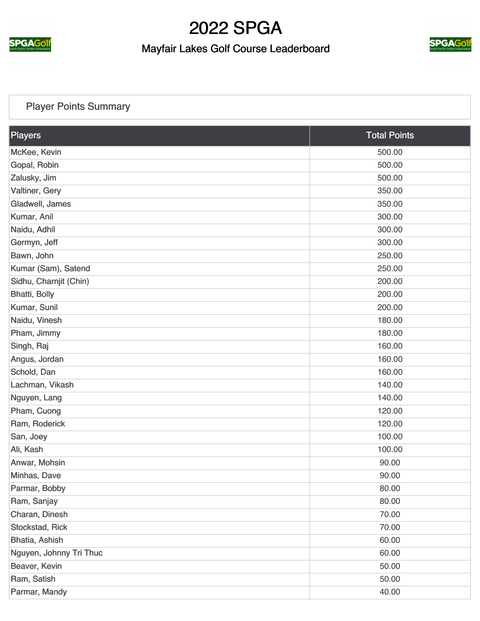

#### Mayfair Lakes Golf Course Leaderboard



#### [Player Points Summary](https://cdn2.golfgenius.com/v2tournaments/total_points?league_id=287068&round_id=896692)

| <b>Players</b>          | <b>Total Points</b> |
|-------------------------|---------------------|
| McKee, Kevin            | 500.00              |
| Gopal, Robin            | 500.00              |
| Zalusky, Jim            | 500.00              |
| Valtiner, Gery          | 350.00              |
| Gladwell, James         | 350.00              |
| Kumar, Anil             | 300.00              |
| Naidu, Adhil            | 300.00              |
| Germyn, Jeff            | 300.00              |
| Bawn, John              | 250.00              |
| Kumar (Sam), Satend     | 250.00              |
| Sidhu, Charnjit (Chin)  | 200.00              |
| Bhatti, Bolly           | 200.00              |
| Kumar, Sunil            | 200.00              |
| Naidu, Vinesh           | 180.00              |
| Pham, Jimmy             | 180.00              |
| Singh, Raj              | 160.00              |
| Angus, Jordan           | 160.00              |
| Schold, Dan             | 160.00              |
| Lachman, Vikash         | 140.00              |
| Nguyen, Lang            | 140.00              |
| Pham, Cuong             | 120.00              |
| Ram, Roderick           | 120.00              |
| San, Joey               | 100.00              |
| Ali, Kash               | 100.00              |
| Anwar, Mohsin           | 90.00               |
| Minhas, Dave            | 90.00               |
| Parmar, Bobby           | 80.00               |
| Ram, Sanjay             | 80.00               |
| Charan, Dinesh          | 70.00               |
| Stockstad, Rick         | 70.00               |
| Bhatia, Ashish          | 60.00               |
| Nguyen, Johnny Tri Thuc | 60.00               |
| Beaver, Kevin           | 50.00               |
| Ram, Satish             | 50.00               |
| Parmar, Mandy           | 40.00               |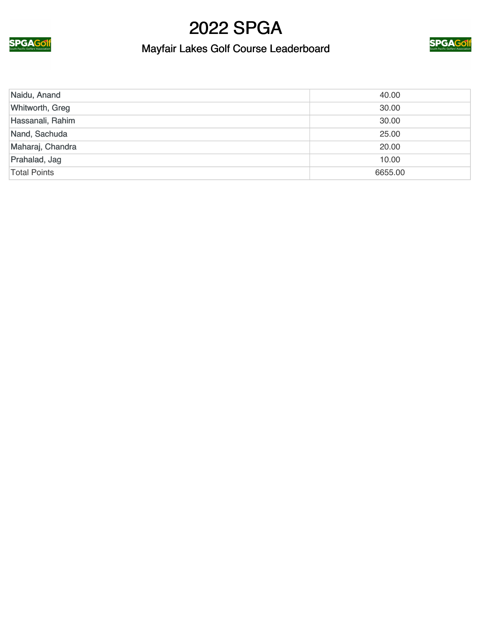

### Mayfair Lakes Golf Course Leaderboard



| Naidu, Anand        | 40.00   |
|---------------------|---------|
| Whitworth, Greg     | 30.00   |
| Hassanali, Rahim    | 30.00   |
| Nand, Sachuda       | 25.00   |
| Maharaj, Chandra    | 20.00   |
| Prahalad, Jag       | 10.00   |
| <b>Total Points</b> | 6655.00 |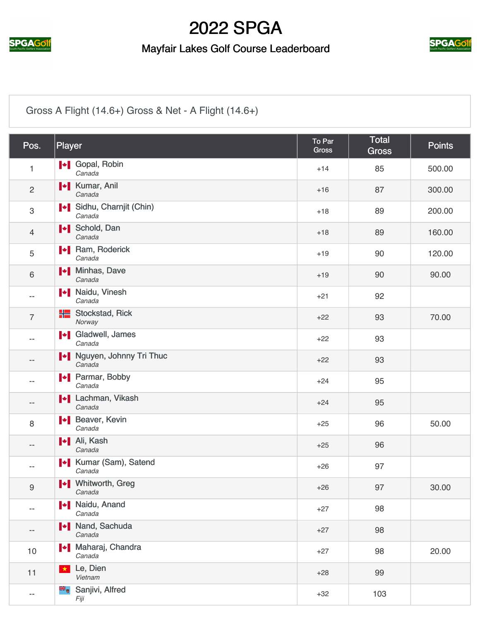

#### Mayfair Lakes Golf Course Leaderboard



#### [Gross A Flight \(14.6+\) Gross & Net - A Flight \(14.6+\)](https://cdn2.golfgenius.com/v2tournaments/2547249?called_from=&round_index=3)

| Pos.                     | Player                                 | To Par<br><b>Gross</b> | <b>Total</b><br><b>Gross</b> | <b>Points</b> |
|--------------------------|----------------------------------------|------------------------|------------------------------|---------------|
| $\mathbf{1}$             | <b>I</b> Gopal, Robin<br>Canada        | $+14$                  | 85                           | 500.00        |
| $\overline{2}$           | <b>I</b> Kumar, Anil<br>Canada         | $+16$                  | 87                           | 300.00        |
| $\,3$                    | Sidhu, Charnjit (Chin)<br>Canada       | $+18$                  | 89                           | 200.00        |
| $\overline{4}$           | <b>I</b> Schold, Dan<br>Canada         | $+18$                  | 89                           | 160.00        |
| 5                        | <b>Nam, Roderick</b><br>Canada         | $+19$                  | 90                           | 120.00        |
| $\,6\,$                  | Minhas, Dave<br>Canada                 | $+19$                  | 90                           | 90.00         |
| $- -$                    | <b>Naidu, Vinesh</b><br>Canada         | $+21$                  | 92                           |               |
| $\overline{7}$           | <b>H</b> Stockstad, Rick<br>Norway     | $+22$                  | 93                           | 70.00         |
|                          | <b>I</b> Gladwell, James<br>Canada     | $+22$                  | 93                           |               |
| --                       | Nguyen, Johnny Tri Thuc<br>Canada      | $+22$                  | 93                           |               |
|                          | <b>I</b> Parmar, Bobby<br>Canada       | $+24$                  | 95                           |               |
| $- -$                    | <b>I + Lachman, Vikash</b><br>Canada   | $+24$                  | 95                           |               |
| 8                        | <b>I</b> Beaver, Kevin<br>Canada       | $+25$                  | 96                           | 50.00         |
| $\qquad \qquad -$        | <b>I</b> Ali, Kash<br>Canada           | $+25$                  | 96                           |               |
|                          | <b>I</b> Kumar (Sam), Satend<br>Canada | $+26$                  | 97                           |               |
| $\boldsymbol{9}$         | Whitworth, Greg<br>Canada              | $+26$                  | 97                           | 30.00         |
| $\overline{\phantom{a}}$ | <b>Naidu, Anand</b><br>Canada          | $+27$                  | 98                           |               |
| --                       | I Nand, Sachuda<br>Canada              | $+27$                  | 98                           |               |
| 10                       | Maharaj, Chandra<br>Canada             | $+27$                  | 98                           | 20.00         |
| 11                       | Le, Dien<br>$\star$<br>Vietnam         | $+28$                  | 99                           |               |
| $\overline{\phantom{a}}$ | Sanjivi, Alfred<br>Fiji                | $+32$                  | 103                          |               |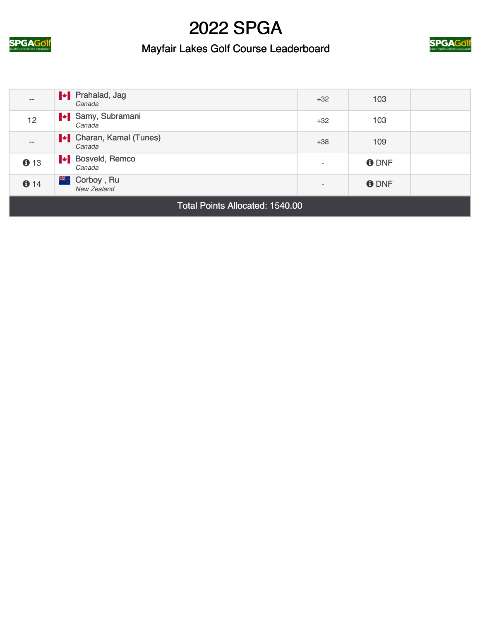

### Mayfair Lakes Golf Course Leaderboard



| --                                     | <b>I</b> Prahalad, Jag<br>Canada         | $+32$                    | 103         |  |
|----------------------------------------|------------------------------------------|--------------------------|-------------|--|
| 12                                     | Samy, Subramani<br>Canada                | $+32$                    | 103         |  |
| $- -$                                  | <b>I</b> Charan, Kamal (Tunes)<br>Canada | $+38$                    | 109         |  |
| 013                                    | <b>New Bosveld, Remco</b><br>Canada      |                          | <b>ODNF</b> |  |
| 614                                    | <b>XK:</b> Corboy, Ru<br>New Zealand     | $\overline{\phantom{0}}$ | <b>ODNF</b> |  |
| <b>Total Points Allocated: 1540.00</b> |                                          |                          |             |  |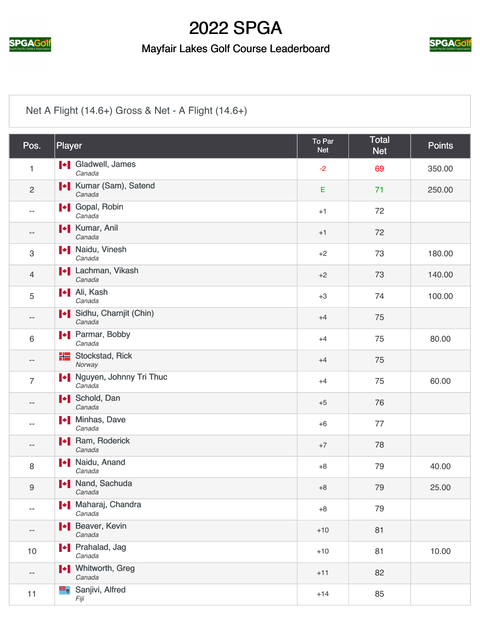

#### Mayfair Lakes Golf Course Leaderboard



#### [Net A Flight \(14.6+\) Gross & Net - A Flight \(14.6+\)](https://cdn2.golfgenius.com/v2tournaments/2547250?called_from=&round_index=3)

| Pos.                     | Player                                 | To Par<br><b>Net</b> | <b>Total</b><br><b>Net</b> | <b>Points</b> |
|--------------------------|----------------------------------------|----------------------|----------------------------|---------------|
| $\mathbf{1}$             | <b>I</b> Gladwell, James<br>Canada     | $-2$                 | 69                         | 350.00        |
| $\overline{c}$           | <b>I</b> Kumar (Sam), Satend<br>Canada | E                    | 71                         | 250.00        |
| --                       | <b>I</b> Gopal, Robin<br>Canada        | $+1$                 | 72                         |               |
| --                       | <b>I</b> Kumar, Anil<br>Canada         | $+1$                 | 72                         |               |
| $\,3$                    | <b>Naidu</b> , Vinesh<br>Canada        | $+2$                 | 73                         | 180.00        |
| $\overline{4}$           | <b>I</b> Lachman, Vikash<br>Canada     | $+2$                 | 73                         | 140.00        |
| 5                        | <b>I</b> + Ali, Kash<br>Canada         | $+3$                 | 74                         | 100.00        |
| $\qquad \qquad -$        | Sidhu, Charnjit (Chin)<br>Canada       | $+4$                 | 75                         |               |
| 6                        | <b>I</b> Parmar, Bobby<br>Canada       | $+4$                 | 75                         | 80.00         |
| --                       | <b>H</b> Stockstad, Rick<br>Norway     | $+4$                 | 75                         |               |
| $\overline{7}$           | Nguyen, Johnny Tri Thuc<br>Canada      | $+4$                 | 75                         | 60.00         |
|                          | <b>I</b> Schold, Dan<br>Canada         | $+5$                 | 76                         |               |
| --                       | I Minhas, Dave<br>Canada               | $+6$                 | 77                         |               |
| $- -$                    | <b>I</b> Ram, Roderick<br>Canada       | $+7$                 | 78                         |               |
| 8                        | <b>Naidu, Anand</b><br>Canada          | $+8$                 | 79                         | 40.00         |
| $\boldsymbol{9}$         | Nand, Sachuda<br>Canada                | $+8$                 | 79                         | 25.00         |
| $\overline{\phantom{a}}$ | Maharaj, Chandra<br>Canada             | $+8$                 | 79                         |               |
| --                       | <b>I</b> Beaver, Kevin<br>Canada       | $+10$                | 81                         |               |
| 10                       | <b>I</b> Prahalad, Jag<br>Canada       | $+10$                | 81                         | 10.00         |
| --                       | <b>I</b> + Whitworth, Greg<br>Canada   | $+11$                | 82                         |               |
| 11                       | Sanjivi, Alfred<br>Fiji                | $+14$                | 85                         |               |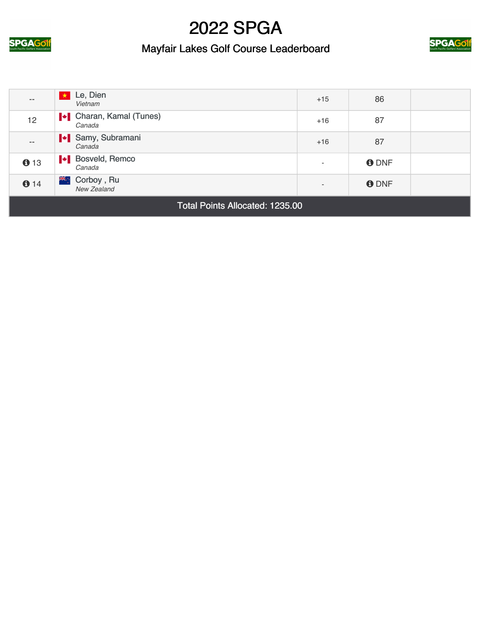

### Mayfair Lakes Golf Course Leaderboard



| $\qquad \qquad -$               | Le, Dien<br>Vietnam                      | $+15$                    | 86          |  |
|---------------------------------|------------------------------------------|--------------------------|-------------|--|
| 12                              | <b>I</b> Charan, Kamal (Tunes)<br>Canada | $+16$                    | 87          |  |
| $\qquad \qquad -$               | I Samy, Subramani<br>Canada              | $+16$                    | 87          |  |
| 613                             | <b>I</b> Bosveld, Remco<br>Canada        | $\overline{\phantom{a}}$ | <b>ODNF</b> |  |
| 614                             | Ж∴<br>Corboy, Ru<br>New Zealand          | $\overline{\phantom{a}}$ | <b>ODNF</b> |  |
| Total Points Allocated: 1235.00 |                                          |                          |             |  |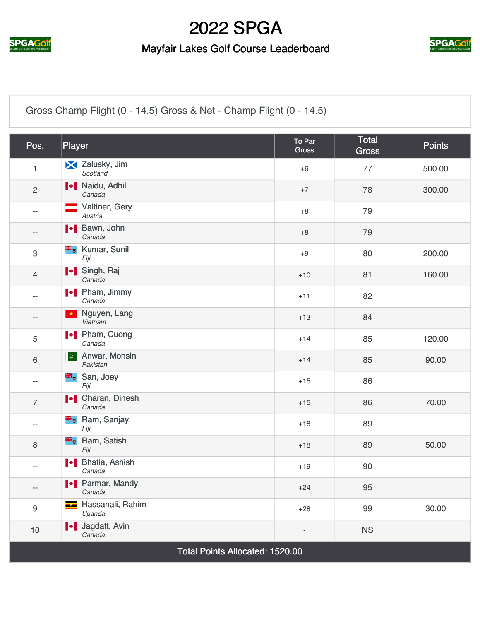

#### Mayfair Lakes Golf Course Leaderboard



[Gross Champ Flight \(0 - 14.5\) Gross & Net - Champ Flight \(0 - 14.5\)](https://cdn2.golfgenius.com/v2tournaments/2547252?called_from=&round_index=3)

| Pos.                            | Player                                               | To Par<br>Gross | <b>Total</b><br><b>Gross</b> | <b>Points</b> |
|---------------------------------|------------------------------------------------------|-----------------|------------------------------|---------------|
| 1                               | X Zalusky, Jim<br>Scotland                           | $+6$            | 77                           | 500.00        |
| $\overline{2}$                  | <b>I</b> Naidu, Adhil<br>Canada                      | $+7$            | 78                           | 300.00        |
| $-$                             | Valtiner, Gery<br>Austria                            | $+8$            | 79                           |               |
| $\overline{\phantom{a}}$        | H Bawn, John<br>Canada                               | $+8$            | 79                           |               |
| $\,3$                           | <b>E</b> Kumar, Sunil<br>Fiji                        | $+9$            | 80                           | 200.00        |
| $\overline{4}$                  | I Singh, Raj<br>Canada                               | $+10$           | 81                           | 160.00        |
| $\overline{\phantom{a}}$        | <b>I</b> Pham, Jimmy<br>Canada                       | $+11$           | 82                           |               |
| $\qquad \qquad -$               | Nguyen, Lang<br>$\star$<br>Vietnam                   | $+13$           | 84                           |               |
| 5                               | <b>I</b> Pham, Cuong<br>Canada                       | $+14$           | 85                           | 120.00        |
| $\,6\,$                         | Anwar, Mohsin<br>$ {\bf c}^{\parallel} $<br>Pakistan | $+14$           | 85                           | 90.00         |
| $\overline{\phantom{a}}$        | <sup>■■</sup> San, Joey<br>Fiji                      | $+15$           | 86                           |               |
| $\overline{7}$                  | <b>I</b> Charan, Dinesh<br>Canada                    | $+15$           | 86                           | 70.00         |
| $\overline{\phantom{a}}$        | <b>B</b> <sub>o</sub> Ram, Sanjay<br>Fiji            | $+18$           | 89                           |               |
| $\,8\,$                         | ak d<br>Ram, Satish<br>Fiji                          | $+18$           | 89                           | 50.00         |
| $\overline{\phantom{a}}$        | I Bhatia, Ashish<br>Canada                           | $+19$           | 90                           |               |
| $\overline{\phantom{a}}$        | Parmar, Mandy<br>Canada                              | $+24$           | 95                           |               |
| $\boldsymbol{9}$                | Hassanali, Rahim<br>$\bullet$<br>Uganda              | $+28$           | 99                           | 30.00         |
| 10                              | I Jagdatt, Avin<br>Canada                            |                 | <b>NS</b>                    |               |
| Total Points Allocated: 1520.00 |                                                      |                 |                              |               |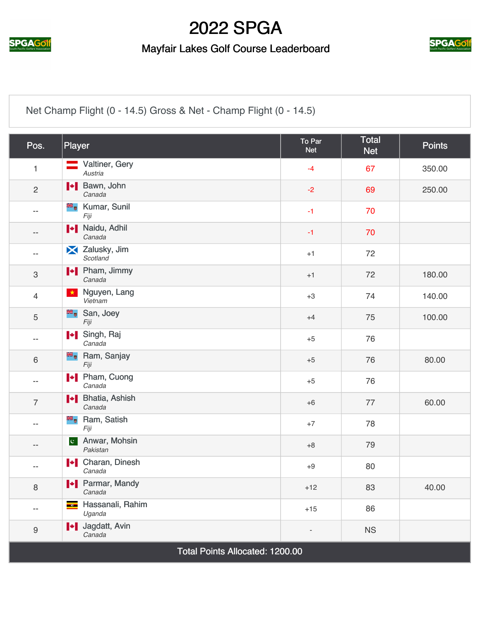

#### Mayfair Lakes Golf Course Leaderboard



[Net Champ Flight \(0 - 14.5\) Gross & Net - Champ Flight \(0 - 14.5\)](https://cdn2.golfgenius.com/v2tournaments/2547253?called_from=&round_index=3)

| Pos.                            | Player                                               | To Par<br><b>Net</b> | <b>Total</b><br><b>Net</b> | <b>Points</b> |
|---------------------------------|------------------------------------------------------|----------------------|----------------------------|---------------|
| $\mathbf{1}$                    | Valtiner, Gery<br>Austria                            | $-4$                 | 67                         | 350.00        |
| $\overline{c}$                  | H Bawn, John<br>Canada                               | $-2$                 | 69                         | 250.00        |
| $-$                             | <b>E</b> , Kumar, Sunil<br>Fiji                      | $-1$                 | 70                         |               |
| $-$                             | <b>I</b> Naidu, Adhil<br>Canada                      | $-1$                 | 70                         |               |
| $\overline{\phantom{a}}$        | Zalusky, Jim<br>Scotland                             | $+1$                 | 72                         |               |
| $\,3$                           | <b>I</b> Pham, Jimmy<br>Canada                       | $+1$                 | 72                         | 180.00        |
| $\overline{4}$                  | Nguyen, Lang<br>$\star$<br>Vietnam                   | $+3$                 | 74                         | 140.00        |
| 5                               | San, Joey<br>Fiji                                    | $+4$                 | 75                         | 100.00        |
| $-$                             | I Singh, Raj<br>Canada                               | $+5$                 | 76                         |               |
| 6                               | <b>B</b> <sub>o</sub> Ram, Sanjay<br>Fiji            | $+5$                 | 76                         | 80.00         |
| $-$                             | <b>I</b> Pham, Cuong<br>Canada                       | $+5$                 | 76                         |               |
| $\overline{7}$                  | H Bhatia, Ashish<br>Canada                           | $+6$                 | 77                         | 60.00         |
| $-$                             | <b>E</b> Ram, Satish<br>Fiji                         | $+7$                 | 78                         |               |
| --                              | Anwar, Mohsin<br>$ {\bf c}^{\parallel} $<br>Pakistan | $+8$                 | 79                         |               |
| $-$                             | <b>I</b> Charan, Dinesh<br>Canada                    | $+9$                 | 80                         |               |
| 8                               | <b>+</b> Parmar, Mandy<br>Canada                     | $+12$                | 83                         | 40.00         |
| $\overline{\phantom{m}}$        | Hassanali, Rahim<br>$\frac{1}{\sqrt{2}}$<br>Uganda   | $+15$                | 86                         |               |
| $\boldsymbol{9}$                | I Jagdatt, Avin<br>Canada                            |                      | <b>NS</b>                  |               |
| Total Points Allocated: 1200.00 |                                                      |                      |                            |               |